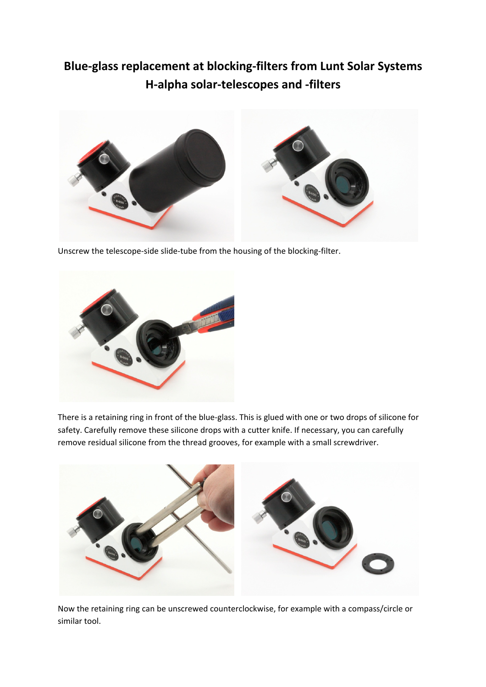## **Blue-glass replacement at blocking-filters from Lunt Solar Systems H-alpha solar-telescopes and -filters**



Unscrew the telescope-side slide-tube from the housing of the blocking-filter.



There is a retaining ring in front of the blue-glass. This is glued with one or two drops of silicone for safety. Carefully remove these silicone drops with a cutter knife. If necessary, you can carefully remove residual silicone from the thread grooves, for example with a small screwdriver.



Now the retaining ring can be unscrewed counterclockwise, for example with a compass/circle or similar tool.